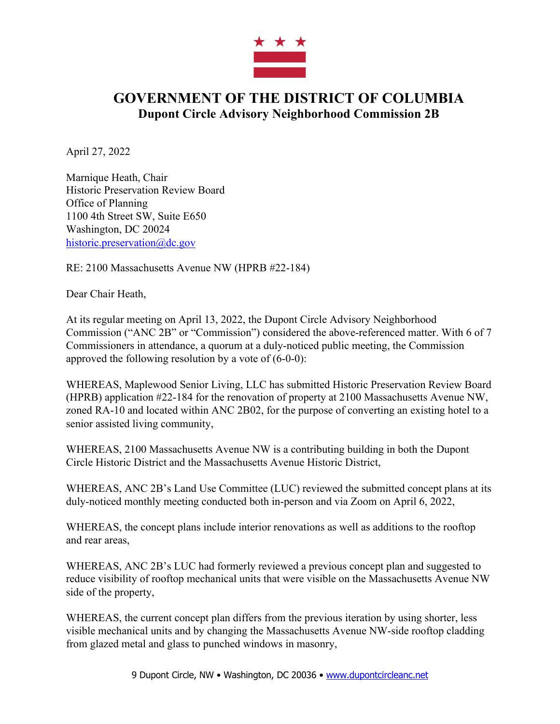

## **GOVERNMENT OF THE DISTRICT OF COLUMBIA Dupont Circle Advisory Neighborhood Commission 2B**

April 27, 2022

Marnique Heath, Chair Historic Preservation Review Board Office of Planning 1100 4th Street SW, Suite E650 Washington, DC 20024 historic.preservation@dc.gov

RE: 2100 Massachusetts Avenue NW (HPRB #22-184)

Dear Chair Heath,

At its regular meeting on April 13, 2022, the Dupont Circle Advisory Neighborhood Commission ("ANC 2B" or "Commission") considered the above-referenced matter. With 6 of 7 Commissioners in attendance, a quorum at a duly-noticed public meeting, the Commission approved the following resolution by a vote of (6-0-0):

WHEREAS, Maplewood Senior Living, LLC has submitted Historic Preservation Review Board (HPRB) application #22-184 for the renovation of property at 2100 Massachusetts Avenue NW, zoned RA-10 and located within ANC 2B02, for the purpose of converting an existing hotel to a senior assisted living community,

WHEREAS, 2100 Massachusetts Avenue NW is a contributing building in both the Dupont Circle Historic District and the Massachusetts Avenue Historic District,

WHEREAS, ANC 2B's Land Use Committee (LUC) reviewed the submitted concept plans at its duly-noticed monthly meeting conducted both in-person and via Zoom on April 6, 2022,

WHEREAS, the concept plans include interior renovations as well as additions to the rooftop and rear areas,

WHEREAS, ANC 2B's LUC had formerly reviewed a previous concept plan and suggested to reduce visibility of rooftop mechanical units that were visible on the Massachusetts Avenue NW side of the property,

WHEREAS, the current concept plan differs from the previous iteration by using shorter, less visible mechanical units and by changing the Massachusetts Avenue NW-side rooftop cladding from glazed metal and glass to punched windows in masonry,